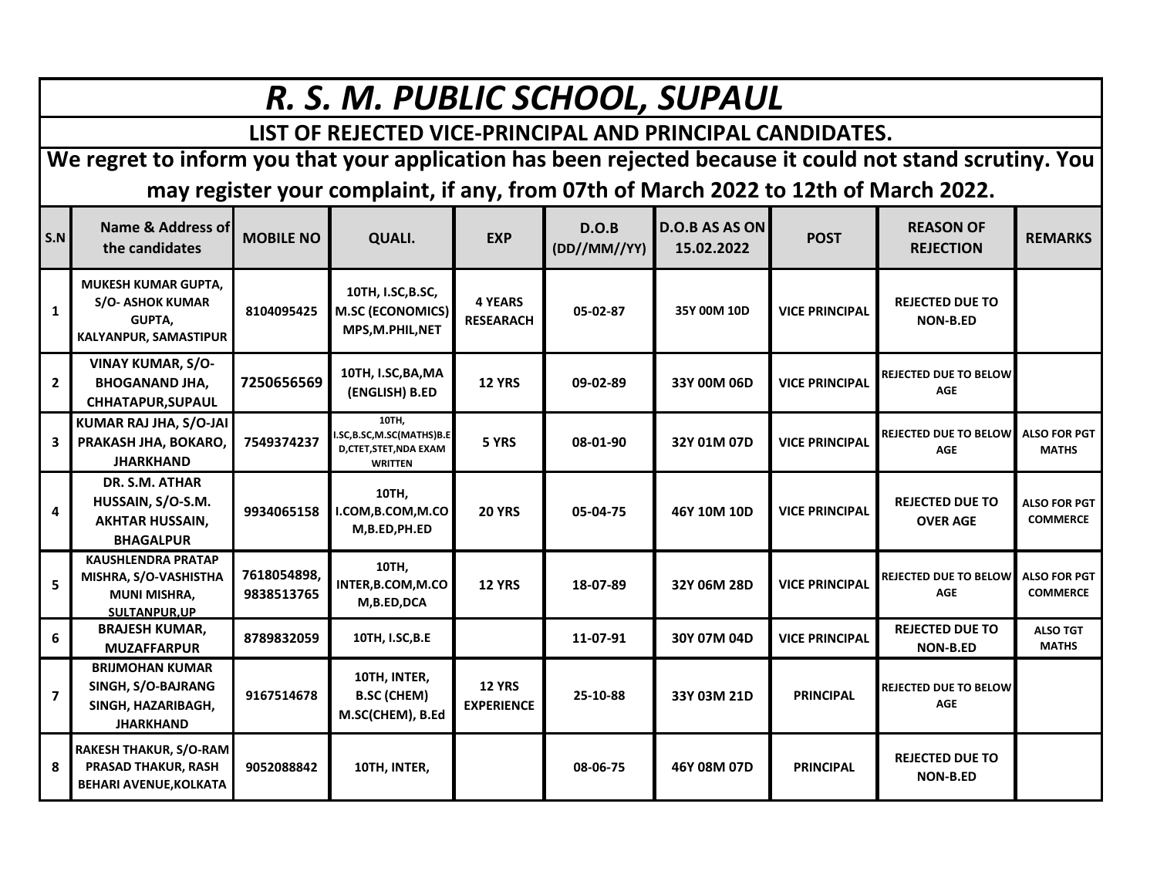| R. S. M. PUBLIC SCHOOL, SUPAUL                                                                           |                                                                                                        |                           |                                                                               |                                    |                       |                                     |                       |                                            |                                        |  |  |  |
|----------------------------------------------------------------------------------------------------------|--------------------------------------------------------------------------------------------------------|---------------------------|-------------------------------------------------------------------------------|------------------------------------|-----------------------|-------------------------------------|-----------------------|--------------------------------------------|----------------------------------------|--|--|--|
| LIST OF REJECTED VICE-PRINCIPAL AND PRINCIPAL CANDIDATES.                                                |                                                                                                        |                           |                                                                               |                                    |                       |                                     |                       |                                            |                                        |  |  |  |
| We regret to inform you that your application has been rejected because it could not stand scrutiny. You |                                                                                                        |                           |                                                                               |                                    |                       |                                     |                       |                                            |                                        |  |  |  |
| may register your complaint, if any, from 07th of March 2022 to 12th of March 2022.                      |                                                                                                        |                           |                                                                               |                                    |                       |                                     |                       |                                            |                                        |  |  |  |
| S.N                                                                                                      | Name & Address of<br>the candidates                                                                    | <b>MOBILE NO</b>          | QUALI.                                                                        | <b>EXP</b>                         | D.O.B<br>(DD//MM//YY) | <b>D.O.B AS AS ON</b><br>15.02.2022 | <b>POST</b>           | <b>REASON OF</b><br><b>REJECTION</b>       | <b>REMARKS</b>                         |  |  |  |
| $\mathbf{1}$                                                                                             | <b>MUKESH KUMAR GUPTA,</b><br><b>S/O- ASHOK KUMAR</b><br><b>GUPTA.</b><br><b>KALYANPUR, SAMASTIPUR</b> | 8104095425                | 10TH, I.SC, B.SC,<br><b>M.SC (ECONOMICS)</b><br>MPS, M.PHIL, NET              | <b>4 YEARS</b><br><b>RESEARACH</b> | 05-02-87              | 35Y 00M 10D                         | <b>VICE PRINCIPAL</b> | <b>REJECTED DUE TO</b><br><b>NON-B.ED</b>  |                                        |  |  |  |
| $\overline{2}$                                                                                           | <b>VINAY KUMAR, S/O-</b><br><b>BHOGANAND JHA,</b><br>CHHATAPUR, SUPAUL                                 | 7250656569                | 10TH, I.SC, BA, MA<br>(ENGLISH) B.ED                                          | <b>12 YRS</b>                      | 09-02-89              | 33Y 00M 06D                         | <b>VICE PRINCIPAL</b> | <b>REJECTED DUE TO BELOW</b><br>AGE        |                                        |  |  |  |
| 3                                                                                                        | KUMAR RAJ JHA, S/O-JAI<br>PRAKASH JHA, BOKARO,<br><b>JHARKHAND</b>                                     | 7549374237                | 10TH,<br>.SC,B.SC,M.SC(MATHS)B.E<br>D, CTET, STET, NDA EXAM<br><b>WRITTEN</b> | 5 YRS                              | 08-01-90              | 32Y 01M 07D                         | <b>VICE PRINCIPAL</b> | <b>REJECTED DUE TO BELOW</b><br>AGE        | <b>ALSO FOR PGT</b><br><b>MATHS</b>    |  |  |  |
| 4                                                                                                        | DR. S.M. ATHAR<br>HUSSAIN, S/O-S.M.<br><b>AKHTAR HUSSAIN,</b><br><b>BHAGALPUR</b>                      | 9934065158                | 10TH,<br>I.COM, B.COM, M.CO<br>M,B.ED,PH.ED                                   | <b>20 YRS</b>                      | 05-04-75              | 46Y 10M 10D                         | <b>VICE PRINCIPAL</b> | <b>REJECTED DUE TO</b><br><b>OVER AGE</b>  | <b>ALSO FOR PGT</b><br><b>COMMERCE</b> |  |  |  |
| 5                                                                                                        | <b>KAUSHLENDRA PRATAP</b><br>MISHRA, S/O-VASHISTHA<br><b>MUNI MISHRA,</b><br><b>SULTANPUR.UP</b>       | 7618054898,<br>9838513765 | 10TH,<br>INTER, B.COM, M.CO<br>M,B.ED,DCA                                     | <b>12 YRS</b>                      | 18-07-89              | 32Y 06M 28D                         | <b>VICE PRINCIPAL</b> | <b>REJECTED DUE TO BELOW</b><br><b>AGE</b> | <b>ALSO FOR PGT</b><br><b>COMMERCE</b> |  |  |  |
| 6                                                                                                        | <b>BRAJESH KUMAR,</b><br><b>MUZAFFARPUR</b>                                                            | 8789832059                | 10TH, I.SC, B.E                                                               |                                    | 11-07-91              | 30Y 07M 04D                         | <b>VICE PRINCIPAL</b> | <b>REJECTED DUE TO</b><br><b>NON-B.ED</b>  | <b>ALSO TGT</b><br><b>MATHS</b>        |  |  |  |
| $\overline{7}$                                                                                           | <b>BRIJMOHAN KUMAR</b><br>SINGH, S/O-BAJRANG<br>SINGH, HAZARIBAGH,<br><b>JHARKHAND</b>                 | 9167514678                | 10TH, INTER,<br><b>B.SC (CHEM)</b><br>M.SC(CHEM), B.Ed                        | <b>12 YRS</b><br><b>EXPERIENCE</b> | 25-10-88              | 33Y 03M 21D                         | <b>PRINCIPAL</b>      | <b>REJECTED DUE TO BELOW</b><br><b>AGE</b> |                                        |  |  |  |
| 8                                                                                                        | <b>RAKESH THAKUR, S/O-RAM</b><br><b>PRASAD THAKUR, RASH</b><br>BEHARI AVENUE, KOLKATA                  | 9052088842                | 10TH, INTER,                                                                  |                                    | 08-06-75              | 46Y 08M 07D                         | <b>PRINCIPAL</b>      | <b>REJECTED DUE TO</b><br><b>NON-B.ED</b>  |                                        |  |  |  |